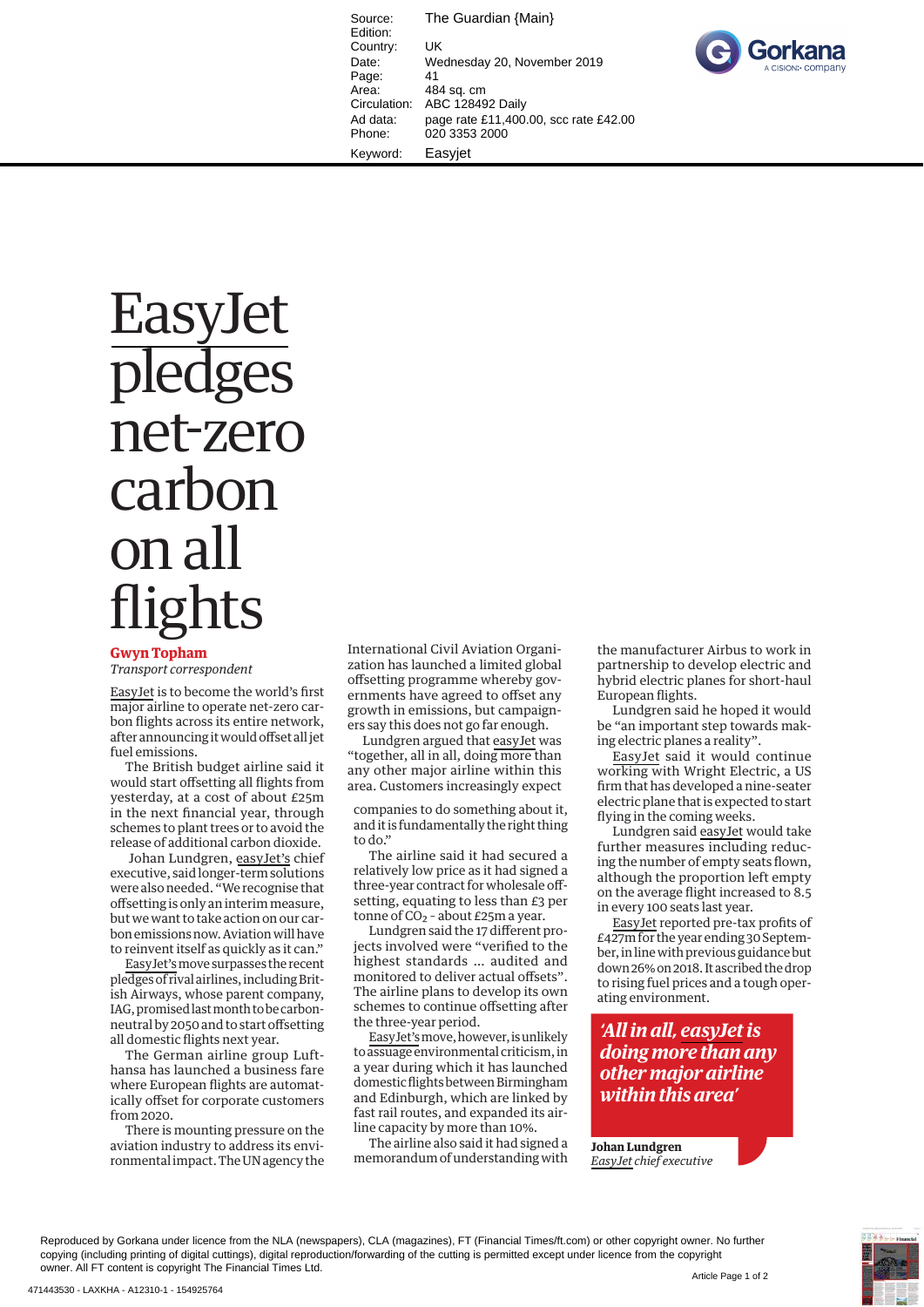Source: The Guardian {Main} Edition: Country: UK Date: Wednesday 20, November 2019 Page: 41<br>Area: 48 Area: 484 sq. cm<br>Circulation: ABC 12849 ABC 128492 Daily Ad data: page rate £11,400.00, scc rate £42.00 Phone: 020 3353 2000 Keyword: Easyjet



## **Easylet** pledges net-zero carbon on all flights

## **Gwyn Topham**

*Transport correspondent*

EasyJet is to become the world's first major airline to operate net-zero carbon flights across its entire network, after announcing it would offset all jet fuel emissions.

The British budget airline said it would start offsetting all flights from yesterday, at a cost of about £25m in the next financial year, through schemes to plant trees or to avoid the release of additional carbon dioxide.

Johan Lundgren, easyJet's chief executive, said longer-term solutions were also needed. "We recognise that off setting is only an interim measure, but we want to take action on our carbon emissions now . Aviation will have to reinvent itself as quickly as it can."

EasyJet's move surpasses the recent pledges of rival airlines, including British Airways, whose parent company, IAG, promised last month to be carbonneutral by 2050 and to start offsetting all domestic flights next year.

The German airline group Lufthansa has launched a business fare where European flights are automatically offset for corporate customers from 2020.

 There is mounting pressure on the aviation industry to address its environmental impact. The UN agency the  International Civil Aviation Organization has launched a limited global off setting programme whereby governments have agreed to offset any growth in emissions, but campaigners say this does not go far enough.

 Lundgren argued that easyJet was "together, all in all, doing more than any other major airline within this area. Customers increasingly expect

companies to do something about it, and it is fundamentally the right thing to do."

The airline said it had secured a relatively low price as it had signed a three-year contract for wholesale off setting, equating to less than £3 per tonne of  $CO<sub>2</sub>$  - about £25m a year.

Lundgren said the 17 different projects involved were "verified to the highest standards … audited and monitored to deliver actual offsets". The airline plans to develop its own schemes to continue offsetting after the three-year period.

EasyJet's move, however, is unlikely to assuage environmental criticism, in a year during which it has launched domestic flights between Birmingham and Edinburgh, which are linked by fast rail routes, and expanded its airline capacity by more than 10%.

 The airline also said it had signed a memorandum of understanding with the manufacturer Airbus to work in partnership to develop electric and hybrid electric planes for short-haul European flights.

Lundgren said he hoped it would be "an important step towards making electric planes a reality".

 EasyJet said it would continue working with Wright Electric, a US firm that has developed a nine-seater electric plane that is expected to start flying in the coming weeks.

Lundgren said easyJet would take further measures including reducing the number of empty seats flown, although the proportion left empty on the average flight increased to 8.5 in every 100 seats last year.

EasyJet reported pre-tax profits of £427m for the year ending 30 September, in line with previous guidance but down 26% on 2018 . It ascribed the drop to rising fuel prices and a tough operating environment.

*'All in all, easyJet is doing more than any other major airline within this area'* 

**Johan Lundgren** *EasyJet chief executive*